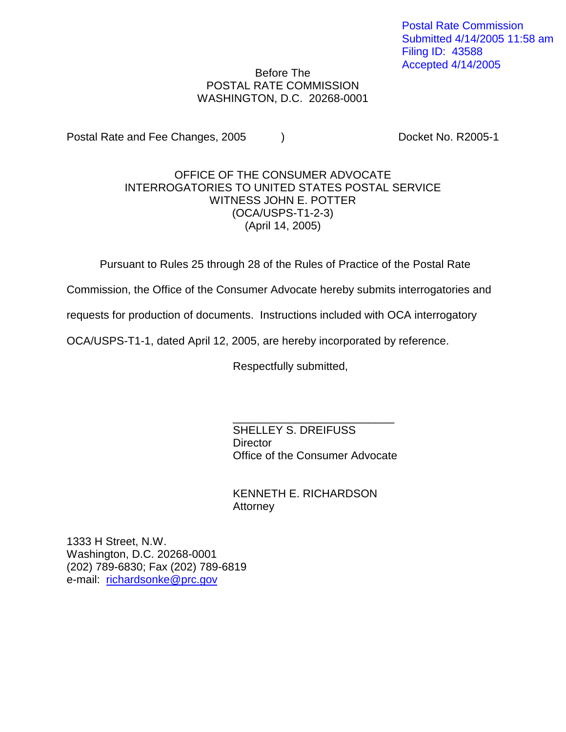Postal Rate Commission Submitted 4/14/2005 11:58 am Filing ID: 43588 Accepted 4/14/2005

## Before The POSTAL RATE COMMISSION WASHINGTON, D.C. 20268-0001

Postal Rate and Fee Changes, 2005 (a) The Cooket No. R2005-1

## OFFICE OF THE CONSUMER ADVOCATE INTERROGATORIES TO UNITED STATES POSTAL SERVICE WITNESS JOHN E. POTTER (OCA/USPS-T1-2-3) (April 14, 2005)

Pursuant to Rules 25 through 28 of the Rules of Practice of the Postal Rate

Commission, the Office of the Consumer Advocate hereby submits interrogatories and

requests for production of documents. Instructions included with OCA interrogatory

OCA/USPS-T1-1, dated April 12, 2005, are hereby incorporated by reference.

Respectfully submitted,

\_\_\_\_\_\_\_\_\_\_\_\_\_\_\_\_\_\_\_\_\_\_\_\_\_\_ SHELLEY S. DREIFUSS **Director** Office of the Consumer Advocate

KENNETH E. RICHARDSON Attorney

1333 H Street, N.W. Washington, D.C. 20268-0001 (202) 789-6830; Fax (202) 789-6819 e-mail: richardsonke@prc.gov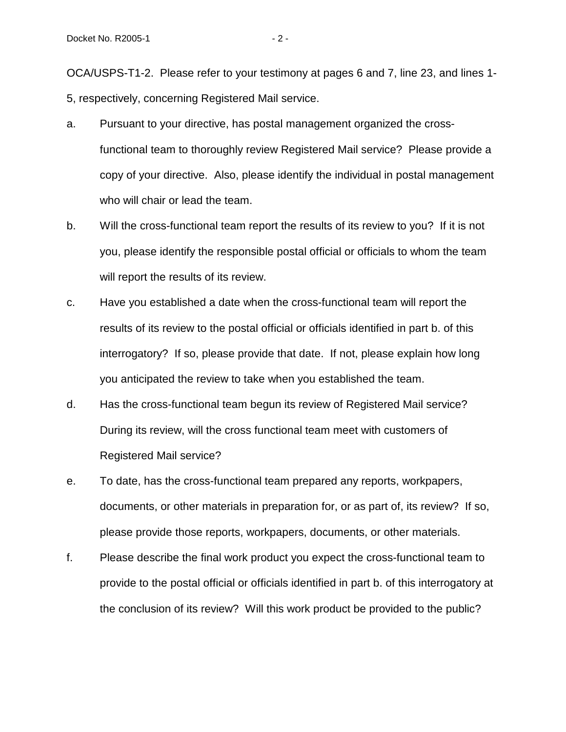OCA/USPS-T1-2. Please refer to your testimony at pages 6 and 7, line 23, and lines 1- 5, respectively, concerning Registered Mail service.

- a. Pursuant to your directive, has postal management organized the crossfunctional team to thoroughly review Registered Mail service? Please provide a copy of your directive. Also, please identify the individual in postal management who will chair or lead the team.
- b. Will the cross-functional team report the results of its review to you? If it is not you, please identify the responsible postal official or officials to whom the team will report the results of its review.
- c. Have you established a date when the cross-functional team will report the results of its review to the postal official or officials identified in part b. of this interrogatory? If so, please provide that date. If not, please explain how long you anticipated the review to take when you established the team.
- d. Has the cross-functional team begun its review of Registered Mail service? During its review, will the cross functional team meet with customers of Registered Mail service?
- e. To date, has the cross-functional team prepared any reports, workpapers, documents, or other materials in preparation for, or as part of, its review? If so, please provide those reports, workpapers, documents, or other materials.
- f. Please describe the final work product you expect the cross-functional team to provide to the postal official or officials identified in part b. of this interrogatory at the conclusion of its review? Will this work product be provided to the public?